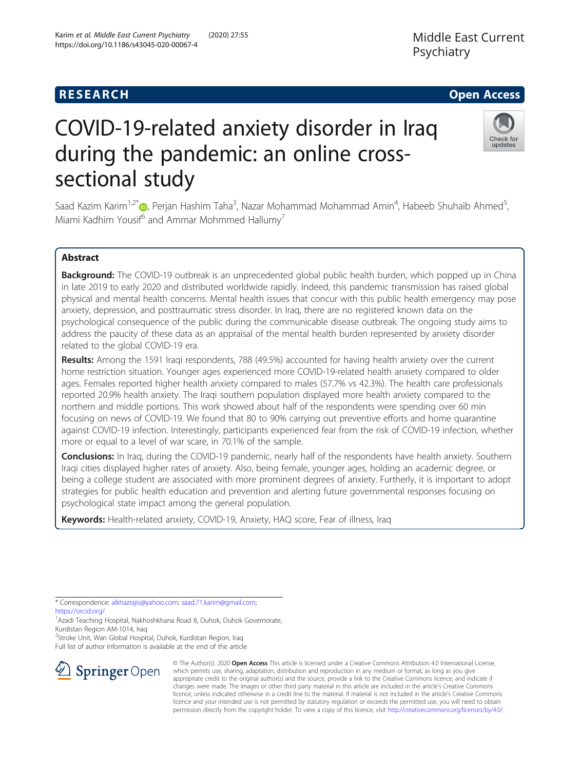# COVID-19-related anxiety disorder in Iraq during the pandemic: an online crosssectional study

**RESEARCH CHE Open Access** 

Saad Kazim Karim<sup>1[,](http://orcid.org/0000-0003-3316-1452)2\*</sup>®, Perjan Hashim Taha<sup>3</sup>, Nazar Mohammad Mohammad Amin<sup>4</sup>, Habeeb Shuhaib Ahmed<sup>5</sup> , Miami Kadhim Yousif<sup>6</sup> and Ammar Mohmmed Hallumy<sup>7</sup>

# Abstract

Background: The COVID-19 outbreak is an unprecedented global public health burden, which popped up in China in late 2019 to early 2020 and distributed worldwide rapidly. Indeed, this pandemic transmission has raised global physical and mental health concerns. Mental health issues that concur with this public health emergency may pose anxiety, depression, and posttraumatic stress disorder. In Iraq, there are no registered known data on the psychological consequence of the public during the communicable disease outbreak. The ongoing study aims to address the paucity of these data as an appraisal of the mental health burden represented by anxiety disorder related to the global COVID-19 era.

Results: Among the 1591 Iraqi respondents, 788 (49.5%) accounted for having health anxiety over the current home restriction situation. Younger ages experienced more COVID-19-related health anxiety compared to older ages. Females reported higher health anxiety compared to males (57.7% vs 42.3%). The health care professionals reported 20.9% health anxiety. The Iraqi southern population displayed more health anxiety compared to the northern and middle portions. This work showed about half of the respondents were spending over 60 min focusing on news of COVID-19. We found that 80 to 90% carrying out preventive efforts and home quarantine against COVID-19 infection. Interestingly, participants experienced fear from the risk of COVID-19 infection, whether more or equal to a level of war scare, in 70.1% of the sample.

**Conclusions:** In Iraq, during the COVID-19 pandemic, nearly half of the respondents have health anxiety. Southern Iraqi cities displayed higher rates of anxiety. Also, being female, younger ages, holding an academic degree, or being a college student are associated with more prominent degrees of anxiety. Furtherly, it is important to adopt strategies for public health education and prevention and alerting future governmental responses focusing on psychological state impact among the general population.

Keywords: Health-related anxiety, COVID-19, Anxiety, HAQ score, Fear of illness, Iraq

\* Correspondence: [alkhazrajis@yahoo.com;](mailto:alkhazrajis@yahoo.com) [saad.71.karim@gmail.com;](mailto:saad.71.karim@gmail.com) <https://orcid.org/>

<sup>1</sup> Azadi Teaching Hospital, Nakhoshkhana Road 8, Duhok, Duhok Governorate, Kurdistan Region AM-1014, Iraq

2 Stroke Unit, Wan Global Hospital, Duhok, Kurdistan Region, Iraq

Full list of author information is available at the end of the article



© The Author(s). 2020 Open Access This article is licensed under a Creative Commons Attribution 4.0 International License, which permits use, sharing, adaptation, distribution and reproduction in any medium or format, as long as you give appropriate credit to the original author(s) and the source, provide a link to the Creative Commons licence, and indicate if changes were made. The images or other third party material in this article are included in the article's Creative Commons licence, unless indicated otherwise in a credit line to the material. If material is not included in the article's Creative Commons licence and your intended use is not permitted by statutory regulation or exceeds the permitted use, you will need to obtain permission directly from the copyright holder. To view a copy of this licence, visit <http://creativecommons.org/licenses/by/4.0/>.



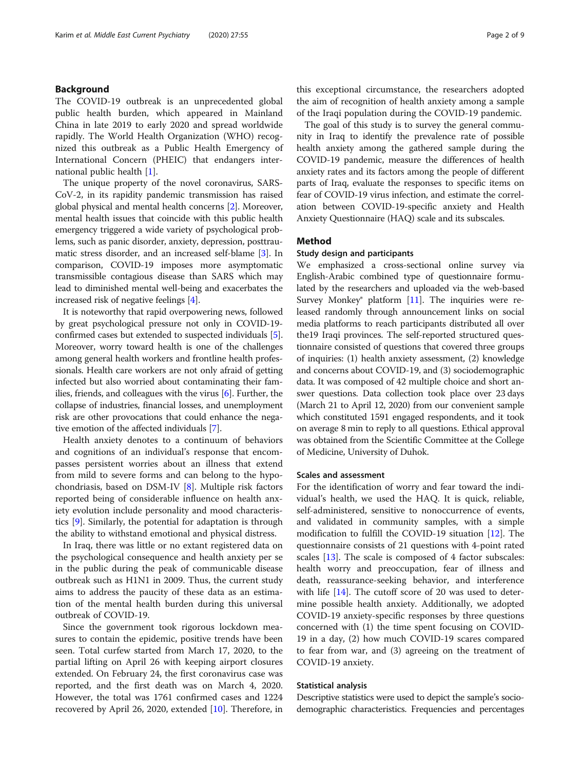# Background

The COVID-19 outbreak is an unprecedented global public health burden, which appeared in Mainland China in late 2019 to early 2020 and spread worldwide rapidly. The World Health Organization (WHO) recognized this outbreak as a Public Health Emergency of International Concern (PHEIC) that endangers international public health [\[1\]](#page-7-0).

The unique property of the novel coronavirus, SARS-CoV-2, in its rapidity pandemic transmission has raised global physical and mental health concerns [\[2](#page-7-0)]. Moreover, mental health issues that coincide with this public health emergency triggered a wide variety of psychological problems, such as panic disorder, anxiety, depression, posttraumatic stress disorder, and an increased self-blame [\[3](#page-7-0)]. In comparison, COVID-19 imposes more asymptomatic transmissible contagious disease than SARS which may lead to diminished mental well-being and exacerbates the increased risk of negative feelings [[4](#page-7-0)].

It is noteworthy that rapid overpowering news, followed by great psychological pressure not only in COVID-19 confirmed cases but extended to suspected individuals [[5](#page-7-0)]. Moreover, worry toward health is one of the challenges among general health workers and frontline health professionals. Health care workers are not only afraid of getting infected but also worried about contaminating their families, friends, and colleagues with the virus [\[6](#page-7-0)]. Further, the collapse of industries, financial losses, and unemployment risk are other provocations that could enhance the negative emotion of the affected individuals [[7\]](#page-7-0).

Health anxiety denotes to a continuum of behaviors and cognitions of an individual's response that encompasses persistent worries about an illness that extend from mild to severe forms and can belong to the hypochondriasis, based on DSM-IV [[8\]](#page-7-0). Multiple risk factors reported being of considerable influence on health anxiety evolution include personality and mood characteristics [\[9\]](#page-7-0). Similarly, the potential for adaptation is through the ability to withstand emotional and physical distress.

In Iraq, there was little or no extant registered data on the psychological consequence and health anxiety per se in the public during the peak of communicable disease outbreak such as H1N1 in 2009. Thus, the current study aims to address the paucity of these data as an estimation of the mental health burden during this universal outbreak of COVID-19.

Since the government took rigorous lockdown measures to contain the epidemic, positive trends have been seen. Total curfew started from March 17, 2020, to the partial lifting on April 26 with keeping airport closures extended. On February 24, the first coronavirus case was reported, and the first death was on March 4, 2020. However, the total was 1761 confirmed cases and 1224 recovered by April 26, 2020, extended [[10\]](#page-7-0). Therefore, in this exceptional circumstance, the researchers adopted the aim of recognition of health anxiety among a sample of the Iraqi population during the COVID-19 pandemic.

The goal of this study is to survey the general community in Iraq to identify the prevalence rate of possible health anxiety among the gathered sample during the COVID-19 pandemic, measure the differences of health anxiety rates and its factors among the people of different parts of Iraq, evaluate the responses to specific items on fear of COVID-19 virus infection, and estimate the correlation between COVID-19-specific anxiety and Health Anxiety Questionnaire (HAQ) scale and its subscales.

# Method

## Study design and participants

We emphasized a cross-sectional online survey via English-Arabic combined type of questionnaire formulated by the researchers and uploaded via the web-based Survey Monkey<sup>®</sup> platform  $[11]$  $[11]$ . The inquiries were released randomly through announcement links on social media platforms to reach participants distributed all over the19 Iraqi provinces. The self-reported structured questionnaire consisted of questions that covered three groups of inquiries: (1) health anxiety assessment, (2) knowledge and concerns about COVID-19, and (3) sociodemographic data. It was composed of 42 multiple choice and short answer questions. Data collection took place over 23 days (March 21 to April 12, 2020) from our convenient sample which constituted 1591 engaged respondents, and it took on average 8 min to reply to all questions. Ethical approval was obtained from the Scientific Committee at the College of Medicine, University of Duhok.

# Scales and assessment

For the identification of worry and fear toward the individual's health, we used the HAQ. It is quick, reliable, self-administered, sensitive to nonoccurrence of events, and validated in community samples, with a simple modification to fulfill the COVID-19 situation [[12](#page-7-0)]. The questionnaire consists of 21 questions with 4-point rated scales [[13\]](#page-7-0). The scale is composed of 4 factor subscales: health worry and preoccupation, fear of illness and death, reassurance-seeking behavior, and interference with life  $[14]$  $[14]$ . The cutoff score of 20 was used to determine possible health anxiety. Additionally, we adopted COVID-19 anxiety-specific responses by three questions concerned with (1) the time spent focusing on COVID-19 in a day, (2) how much COVID-19 scares compared to fear from war, and (3) agreeing on the treatment of COVID-19 anxiety.

# Statistical analysis

Descriptive statistics were used to depict the sample's sociodemographic characteristics. Frequencies and percentages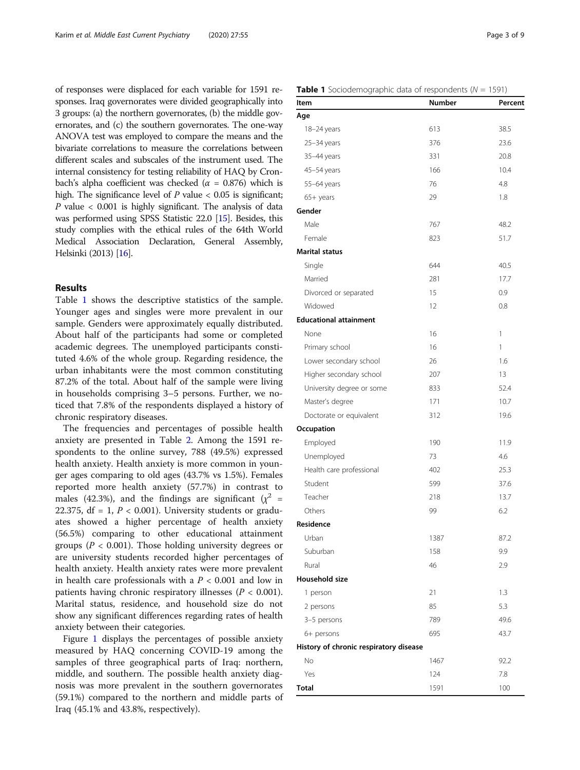of responses were displaced for each variable for 1591 responses. Iraq governorates were divided geographically into 3 groups: (a) the northern governorates, (b) the middle governorates, and (c) the southern governorates. The one-way ANOVA test was employed to compare the means and the bivariate correlations to measure the correlations between different scales and subscales of the instrument used. The internal consistency for testing reliability of HAQ by Cronbach's alpha coefficient was checked ( $\alpha$  = 0.876) which is high. The significance level of  $P$  value  $< 0.05$  is significant;  $P$  value  $< 0.001$  is highly significant. The analysis of data was performed using SPSS Statistic 22.0 [\[15\]](#page-7-0). Besides, this study complies with the ethical rules of the 64th World Medical Association Declaration, General Assembly, Helsinki (2013) [\[16](#page-7-0)].

# Results

Table 1 shows the descriptive statistics of the sample. Younger ages and singles were more prevalent in our sample. Genders were approximately equally distributed. About half of the participants had some or completed academic degrees. The unemployed participants constituted 4.6% of the whole group. Regarding residence, the urban inhabitants were the most common constituting 87.2% of the total. About half of the sample were living in households comprising 3–5 persons. Further, we noticed that 7.8% of the respondents displayed a history of chronic respiratory diseases.

The frequencies and percentages of possible health anxiety are presented in Table [2](#page-3-0). Among the 1591 respondents to the online survey, 788 (49.5%) expressed health anxiety. Health anxiety is more common in younger ages comparing to old ages (43.7% vs 1.5%). Females reported more health anxiety (57.7%) in contrast to males (42.3%), and the findings are significant ( $\chi^2$  = 22.375, df = 1,  $P < 0.001$ ). University students or graduates showed a higher percentage of health anxiety (56.5%) comparing to other educational attainment groups ( $P < 0.001$ ). Those holding university degrees or are university students recorded higher percentages of health anxiety. Health anxiety rates were more prevalent in health care professionals with a  $P < 0.001$  and low in patients having chronic respiratory illnesses ( $P < 0.001$ ). Marital status, residence, and household size do not show any significant differences regarding rates of health anxiety between their categories.

Figure [1](#page-4-0) displays the percentages of possible anxiety measured by HAQ concerning COVID-19 among the samples of three geographical parts of Iraq: northern, middle, and southern. The possible health anxiety diagnosis was more prevalent in the southern governorates (59.1%) compared to the northern and middle parts of Iraq (45.1% and 43.8%, respectively).

|  |  | <b>Table 1</b> Sociodemographic data of respondents ( $N = 1591$ ) |  |  |  |  |  |
|--|--|--------------------------------------------------------------------|--|--|--|--|--|
|--|--|--------------------------------------------------------------------|--|--|--|--|--|

| Item                                   | <b>Number</b> | Percent |
|----------------------------------------|---------------|---------|
| Age                                    |               |         |
| 18-24 years                            | 613           | 38.5    |
| $25 - 34$ years                        | 376           | 23.6    |
| 35-44 years                            | 331           | 20.8    |
| 45-54 years                            | 166           | 10.4    |
| 55-64 years                            | 76            | 4.8     |
| 65+ years                              | 29            | 1.8     |
| Gender                                 |               |         |
| Male                                   | 767           | 48.2    |
| Female                                 | 823           | 51.7    |
| <b>Marital status</b>                  |               |         |
| Single                                 | 644           | 40.5    |
| Married                                | 281           | 17.7    |
| Divorced or separated                  | 15            | 0.9     |
| Widowed                                | 12            | 0.8     |
| <b>Educational attainment</b>          |               |         |
| None                                   | 16            | 1       |
| Primary school                         | 16            | 1       |
| Lower secondary school                 | 26            | 1.6     |
| Higher secondary school                | 207           | 13      |
| University degree or some              | 833           | 52.4    |
| Master's degree                        | 171           | 10.7    |
| Doctorate or equivalent                | 312           | 19.6    |
| Occupation                             |               |         |
| Employed                               | 190           | 11.9    |
| Unemployed                             | 73            | 4.6     |
| Health care professional               | 402           | 25.3    |
| Student                                | 599           | 37.6    |
| Teacher                                | 218           | 13.7    |
| Others                                 | 99            | 6.2     |
| Residence                              |               |         |
| Urban                                  | 1387          | 87.2    |
| Suburban                               | 158           | 9.9     |
| Rural                                  | 46            | 2.9     |
| Household size                         |               |         |
| 1 person                               | 21            | 1.3     |
| 2 persons                              | 85            | 5.3     |
| 3-5 persons                            | 789           | 49.6    |
| 6+ persons                             | 695           | 43.7    |
| History of chronic respiratory disease |               |         |
| No                                     | 1467          | 92.2    |
| Yes                                    | 124           | 7.8     |
| <b>Total</b>                           | 1591          | 100     |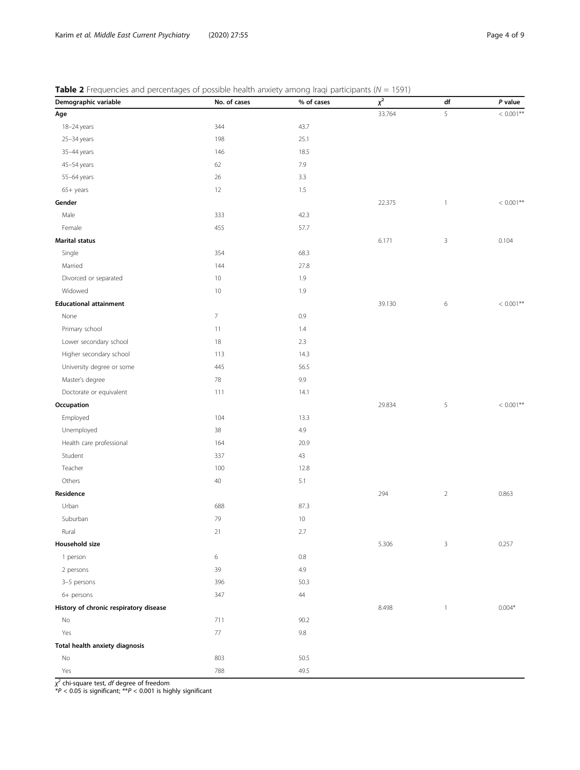<span id="page-3-0"></span>

| <b>Table 2</b> Frequencies and percentages of possible health anxiety among Iraqi participants ( $N = 1591$ ) |  |  |  |
|---------------------------------------------------------------------------------------------------------------|--|--|--|
|                                                                                                               |  |  |  |

| Demographic variable                   | No. of cases   | % of cases | $\overline{x^2}$ | df           | P value      |
|----------------------------------------|----------------|------------|------------------|--------------|--------------|
| Age                                    |                |            | 33.764           | 5            | $< 0.001**$  |
| 18-24 years                            | 344            | 43.7       |                  |              |              |
| 25-34 years                            | 198            | 25.1       |                  |              |              |
| 35-44 years                            | 146            | 18.5       |                  |              |              |
| 45-54 years                            | 62             | 7.9        |                  |              |              |
| 55-64 years                            | 26             | 3.3        |                  |              |              |
| 65+ years                              | 12             | 1.5        |                  |              |              |
| Gender                                 |                |            | 22.375           | $\mathbf{1}$ | $< 0.001**$  |
| Male                                   | 333            | 42.3       |                  |              |              |
| Female                                 | 455            | 57.7       |                  |              |              |
| <b>Marital status</b>                  |                |            | 6.171            | $\mathsf 3$  | 0.104        |
| Single                                 | 354            | 68.3       |                  |              |              |
| Married                                | 144            | 27.8       |                  |              |              |
| Divorced or separated                  | 10             | 1.9        |                  |              |              |
| Widowed                                | 10             | 1.9        |                  |              |              |
| <b>Educational attainment</b>          |                |            | 39.130           | $\,$ 6 $\,$  | $< 0.001***$ |
| None                                   | $\overline{7}$ | 0.9        |                  |              |              |
| Primary school                         | 11             | 1.4        |                  |              |              |
| Lower secondary school                 | 18             | 2.3        |                  |              |              |
| Higher secondary school                | 113            | 14.3       |                  |              |              |
| University degree or some              | 445            | 56.5       |                  |              |              |
| Master's degree                        | 78             | 9.9        |                  |              |              |
| Doctorate or equivalent                | 111            | 14.1       |                  |              |              |
| Occupation                             |                |            | 29.834           | $\sqrt{5}$   | $< 0.001**$  |
| Employed                               | 104            | 13.3       |                  |              |              |
| Unemployed                             | 38             | 4.9        |                  |              |              |
| Health care professional               | 164            | 20.9       |                  |              |              |
| Student                                | 337            | 43         |                  |              |              |
| Teacher                                | 100            | 12.8       |                  |              |              |
| Others                                 | 40             | 5.1        |                  |              |              |
| Residence                              |                |            | 294              | $\sqrt{2}$   | 0.863        |
| Urban                                  | 688            | 87.3       |                  |              |              |
| Suburban                               | 79             | $10$       |                  |              |              |
| Rural                                  | 21             | $2.7\,$    |                  |              |              |
| Household size                         |                |            | 5.306            | 3            | 0.257        |
| 1 person                               | 6              | $0.8\,$    |                  |              |              |
| 2 persons                              | 39             | 4.9        |                  |              |              |
| 3-5 persons                            | 396            | 50.3       |                  |              |              |
| 6+ persons                             | 347            | $44\,$     |                  |              |              |
| History of chronic respiratory disease |                |            | 8.498            | $\mathbf{1}$ | $0.004*$     |
| No                                     | 711            | 90.2       |                  |              |              |
| Yes                                    | $77\,$         | $9.8\,$    |                  |              |              |
| Total health anxiety diagnosis         |                |            |                  |              |              |
| $\mathsf{No}$                          | 803            | 50.5       |                  |              |              |
| Yes                                    | 788            | 49.5       |                  |              |              |

χ<sup>2</sup> chi-square test, *df* degree of freedom<br>\*P < 0.05 is significant; \*\*P < 0.001 is highly significant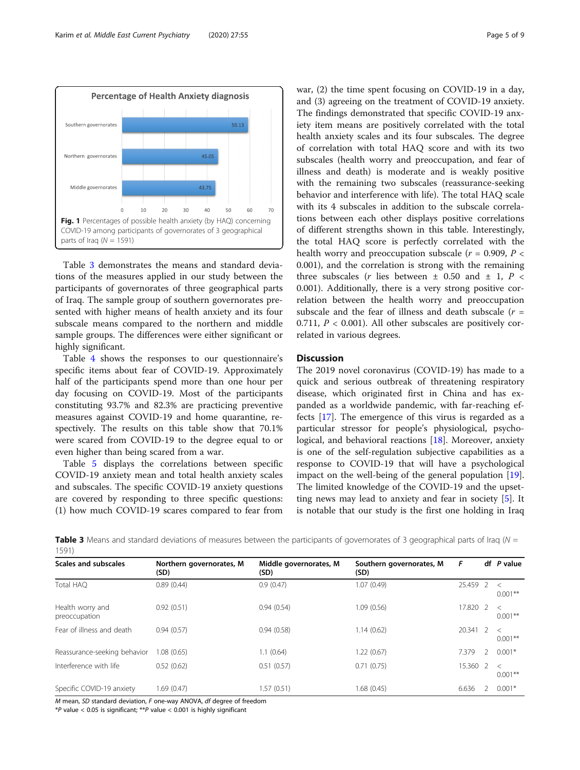<span id="page-4-0"></span>

Table 3 demonstrates the means and standard deviations of the measures applied in our study between the participants of governorates of three geographical parts of Iraq. The sample group of southern governorates presented with higher means of health anxiety and its four subscale means compared to the northern and middle sample groups. The differences were either significant or highly significant.

Table [4](#page-5-0) shows the responses to our questionnaire's specific items about fear of COVID-19. Approximately half of the participants spend more than one hour per day focusing on COVID-19. Most of the participants constituting 93.7% and 82.3% are practicing preventive measures against COVID-19 and home quarantine, respectively. The results on this table show that 70.1% were scared from COVID-19 to the degree equal to or even higher than being scared from a war.

Table [5](#page-5-0) displays the correlations between specific COVID-19 anxiety mean and total health anxiety scales and subscales. The specific COVID-19 anxiety questions are covered by responding to three specific questions: (1) how much COVID-19 scares compared to fear from

war, (2) the time spent focusing on COVID-19 in a day, and (3) agreeing on the treatment of COVID-19 anxiety. The findings demonstrated that specific COVID-19 anxiety item means are positively correlated with the total health anxiety scales and its four subscales. The degree of correlation with total HAQ score and with its two subscales (health worry and preoccupation, and fear of illness and death) is moderate and is weakly positive with the remaining two subscales (reassurance-seeking behavior and interference with life). The total HAQ scale with its 4 subscales in addition to the subscale correlations between each other displays positive correlations of different strengths shown in this table. Interestingly, the total HAQ score is perfectly correlated with the health worry and preoccupation subscale ( $r = 0.909$ ,  $P <$ 0.001), and the correlation is strong with the remaining three subscales (*r* lies between  $\pm$  0.50 and  $\pm$  1, *P* < 0.001). Additionally, there is a very strong positive correlation between the health worry and preoccupation subscale and the fear of illness and death subscale  $(r =$ 0.711,  $P < 0.001$ ). All other subscales are positively correlated in various degrees.

# **Discussion**

The 2019 novel coronavirus (COVID-19) has made to a quick and serious outbreak of threatening respiratory disease, which originated first in China and has expanded as a worldwide pandemic, with far-reaching effects [\[17](#page-7-0)]. The emergence of this virus is regarded as a particular stressor for people's physiological, psychological, and behavioral reactions [[18\]](#page-7-0). Moreover, anxiety is one of the self-regulation subjective capabilities as a response to COVID-19 that will have a psychological impact on the well-being of the general population [\[19](#page-7-0)]. The limited knowledge of the COVID-19 and the upsetting news may lead to anxiety and fear in society [\[5](#page-7-0)]. It is notable that our study is the first one holding in Iraq

**Table 3** Means and standard deviations of measures between the participants of governorates of 3 geographical parts of Iraq ( $N =$ 1591)

| $\cdot$ $\cdot$ $\cdot$ $\cdot$ $\cdot$ |                                  |                                |                                  |          |                |                       |
|-----------------------------------------|----------------------------------|--------------------------------|----------------------------------|----------|----------------|-----------------------|
| <b>Scales and subscales</b>             | Northern governorates, M<br>(SD) | Middle governorates, M<br>(SD) | Southern governorates, M<br>(SD) | F        |                | df P value            |
| Total HAO                               | 0.89(0.44)                       | 0.9(0.47)                      | 1.07(0.49)                       | 25.459 2 |                | $\,<\,$<br>$0.001***$ |
| Health worry and<br>preoccupation       | 0.92(0.51)                       | 0.94(0.54)                     | 1.09(0.56)                       | 17.820 2 |                | $\,<\,$<br>$0.001***$ |
| Fear of illness and death               | 0.94(0.57)                       | 0.94(0.58)                     | 1.14(0.62)                       | 20.341   | $\overline{z}$ | $\,<\,$<br>$0.001***$ |
| Reassurance-seeking behavior            | .08(0.65)                        | 1.1(0.64)                      | 1.22(0.67)                       | 7.379    |                | $0.001*$              |
| Interference with life                  | 0.52(0.62)                       | 0.51(0.57)                     | 0.71(0.75)                       | 15.360 2 |                | $\,<\,$<br>$0.001***$ |
| Specific COVID-19 anxiety               | 1.69 (0.47)                      | 1.57 (0.51)                    | 1.68(0.45)                       | 6.636    |                | $0.001*$              |

M mean, SD standard deviation, F one-way ANOVA, df degree of freedom

\*P value < 0.05 is significant; \*\*P value < 0.001 is highly significant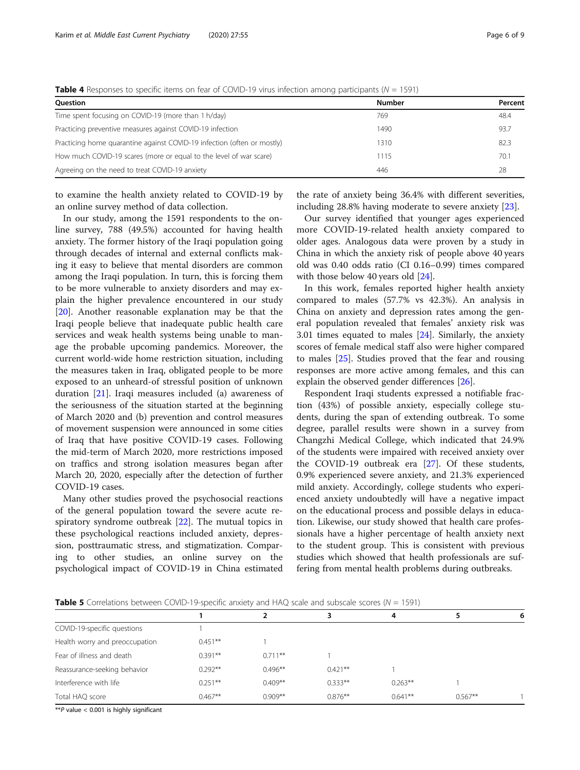| <b>Ouestion</b>                                                         | <b>Number</b> | Percent |
|-------------------------------------------------------------------------|---------------|---------|
| Time spent focusing on COVID-19 (more than 1 h/day)                     | 769           | 48.4    |
| Practicing preventive measures against COVID-19 infection               | 1490          | 93.7    |
| Practicing home quarantine against COVID-19 infection (often or mostly) | 1310          | 82.3    |
| How much COVID-19 scares (more or equal to the level of war scare)      | 1115          | 70.1    |
| Agreeing on the need to treat COVID-19 anxiety                          | 446           | 28      |

<span id="page-5-0"></span>**Table 4** Responses to specific items on fear of COVID-19 virus infection among participants ( $N = 1591$ )

to examine the health anxiety related to COVID-19 by an online survey method of data collection.

In our study, among the 1591 respondents to the online survey, 788 (49.5%) accounted for having health anxiety. The former history of the Iraqi population going through decades of internal and external conflicts making it easy to believe that mental disorders are common among the Iraqi population. In turn, this is forcing them to be more vulnerable to anxiety disorders and may explain the higher prevalence encountered in our study [[20\]](#page-7-0). Another reasonable explanation may be that the Iraqi people believe that inadequate public health care services and weak health systems being unable to manage the probable upcoming pandemics. Moreover, the current world-wide home restriction situation, including the measures taken in Iraq, obligated people to be more exposed to an unheard-of stressful position of unknown duration [[21\]](#page-7-0). Iraqi measures included (a) awareness of the seriousness of the situation started at the beginning of March 2020 and (b) prevention and control measures of movement suspension were announced in some cities of Iraq that have positive COVID-19 cases. Following the mid-term of March 2020, more restrictions imposed on traffics and strong isolation measures began after March 20, 2020, especially after the detection of further COVID-19 cases.

Many other studies proved the psychosocial reactions of the general population toward the severe acute respiratory syndrome outbreak [\[22](#page-7-0)]. The mutual topics in these psychological reactions included anxiety, depression, posttraumatic stress, and stigmatization. Comparing to other studies, an online survey on the psychological impact of COVID-19 in China estimated

the rate of anxiety being 36.4% with different severities, including 28.8% having moderate to severe anxiety [\[23](#page-8-0)].

Our survey identified that younger ages experienced more COVID-19-related health anxiety compared to older ages. Analogous data were proven by a study in China in which the anxiety risk of people above 40 years old was 0.40 odds ratio (CI 0.16–0.99) times compared with those below 40 years old [[24](#page-8-0)].

In this work, females reported higher health anxiety compared to males (57.7% vs 42.3%). An analysis in China on anxiety and depression rates among the general population revealed that females' anxiety risk was 3.01 times equated to males [\[24\]](#page-8-0). Similarly, the anxiety scores of female medical staff also were higher compared to males [[25](#page-8-0)]. Studies proved that the fear and rousing responses are more active among females, and this can explain the observed gender differences [[26\]](#page-8-0).

Respondent Iraqi students expressed a notifiable fraction (43%) of possible anxiety, especially college students, during the span of extending outbreak. To some degree, parallel results were shown in a survey from Changzhi Medical College, which indicated that 24.9% of the students were impaired with received anxiety over the COVID-19 outbreak era [[27\]](#page-8-0). Of these students, 0.9% experienced severe anxiety, and 21.3% experienced mild anxiety. Accordingly, college students who experienced anxiety undoubtedly will have a negative impact on the educational process and possible delays in education. Likewise, our study showed that health care professionals have a higher percentage of health anxiety next to the student group. This is consistent with previous studies which showed that health professionals are suffering from mental health problems during outbreaks.

**Table 5** Correlations between COVID-19-specific anxiety and HAQ scale and subscale scores ( $N = 1591$ )

|                                |           |           |           | 4         |           | ь |  |
|--------------------------------|-----------|-----------|-----------|-----------|-----------|---|--|
| COVID-19-specific questions    |           |           |           |           |           |   |  |
| Health worry and preoccupation | $0.451**$ |           |           |           |           |   |  |
| Fear of illness and death      | $0.391**$ | $0.711**$ |           |           |           |   |  |
| Reassurance-seeking behavior   | $0.292**$ | $0.496**$ | $0.421**$ |           |           |   |  |
| Interference with life         | $0.251**$ | $0.409**$ | $0.333**$ | $0.263**$ |           |   |  |
| Total HAQ score                | $0.467**$ | $0.909**$ | $0.876**$ | $0.641**$ | $0.567**$ |   |  |

 $*P$  value < 0.001 is highly significant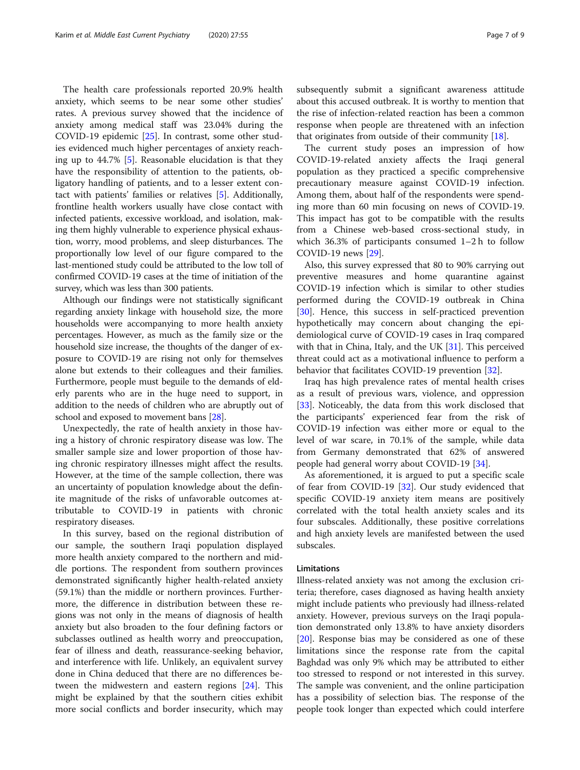The health care professionals reported 20.9% health anxiety, which seems to be near some other studies' rates. A previous survey showed that the incidence of anxiety among medical staff was 23.04% during the COVID-19 epidemic [[25\]](#page-8-0). In contrast, some other studies evidenced much higher percentages of anxiety reaching up to 44.7% [[5](#page-7-0)]. Reasonable elucidation is that they have the responsibility of attention to the patients, obligatory handling of patients, and to a lesser extent contact with patients' families or relatives [\[5\]](#page-7-0). Additionally, frontline health workers usually have close contact with infected patients, excessive workload, and isolation, making them highly vulnerable to experience physical exhaustion, worry, mood problems, and sleep disturbances. The proportionally low level of our figure compared to the last-mentioned study could be attributed to the low toll of confirmed COVID-19 cases at the time of initiation of the survey, which was less than 300 patients.

Although our findings were not statistically significant regarding anxiety linkage with household size, the more households were accompanying to more health anxiety percentages. However, as much as the family size or the household size increase, the thoughts of the danger of exposure to COVID-19 are rising not only for themselves alone but extends to their colleagues and their families. Furthermore, people must beguile to the demands of elderly parents who are in the huge need to support, in addition to the needs of children who are abruptly out of school and exposed to movement bans [[28](#page-8-0)].

Unexpectedly, the rate of health anxiety in those having a history of chronic respiratory disease was low. The smaller sample size and lower proportion of those having chronic respiratory illnesses might affect the results. However, at the time of the sample collection, there was an uncertainty of population knowledge about the definite magnitude of the risks of unfavorable outcomes attributable to COVID-19 in patients with chronic respiratory diseases.

In this survey, based on the regional distribution of our sample, the southern Iraqi population displayed more health anxiety compared to the northern and middle portions. The respondent from southern provinces demonstrated significantly higher health-related anxiety (59.1%) than the middle or northern provinces. Furthermore, the difference in distribution between these regions was not only in the means of diagnosis of health anxiety but also broaden to the four defining factors or subclasses outlined as health worry and preoccupation, fear of illness and death, reassurance-seeking behavior, and interference with life. Unlikely, an equivalent survey done in China deduced that there are no differences between the midwestern and eastern regions [[24\]](#page-8-0). This might be explained by that the southern cities exhibit more social conflicts and border insecurity, which may subsequently submit a significant awareness attitude about this accused outbreak. It is worthy to mention that the rise of infection-related reaction has been a common response when people are threatened with an infection that originates from outside of their community [[18](#page-7-0)].

The current study poses an impression of how COVID-19-related anxiety affects the Iraqi general population as they practiced a specific comprehensive precautionary measure against COVID-19 infection. Among them, about half of the respondents were spending more than 60 min focusing on news of COVID-19. This impact has got to be compatible with the results from a Chinese web-based cross-sectional study, in which 36.3% of participants consumed 1–2 h to follow COVID-19 news [\[29\]](#page-8-0).

Also, this survey expressed that 80 to 90% carrying out preventive measures and home quarantine against COVID-19 infection which is similar to other studies performed during the COVID-19 outbreak in China [[30\]](#page-8-0). Hence, this success in self-practiced prevention hypothetically may concern about changing the epidemiological curve of COVID-19 cases in Iraq compared with that in China, Italy, and the UK  $[31]$  $[31]$ . This perceived threat could act as a motivational influence to perform a behavior that facilitates COVID-19 prevention [[32\]](#page-8-0).

Iraq has high prevalence rates of mental health crises as a result of previous wars, violence, and oppression [[33\]](#page-8-0). Noticeably, the data from this work disclosed that the participants' experienced fear from the risk of COVID-19 infection was either more or equal to the level of war scare, in 70.1% of the sample, while data from Germany demonstrated that 62% of answered people had general worry about COVID-19 [[34](#page-8-0)].

As aforementioned, it is argued to put a specific scale of fear from COVID-19 [\[32\]](#page-8-0). Our study evidenced that specific COVID-19 anxiety item means are positively correlated with the total health anxiety scales and its four subscales. Additionally, these positive correlations and high anxiety levels are manifested between the used subscales.

# Limitations

Illness-related anxiety was not among the exclusion criteria; therefore, cases diagnosed as having health anxiety might include patients who previously had illness-related anxiety. However, previous surveys on the Iraqi population demonstrated only 13.8% to have anxiety disorders [[20\]](#page-7-0). Response bias may be considered as one of these limitations since the response rate from the capital Baghdad was only 9% which may be attributed to either too stressed to respond or not interested in this survey. The sample was convenient, and the online participation has a possibility of selection bias. The response of the people took longer than expected which could interfere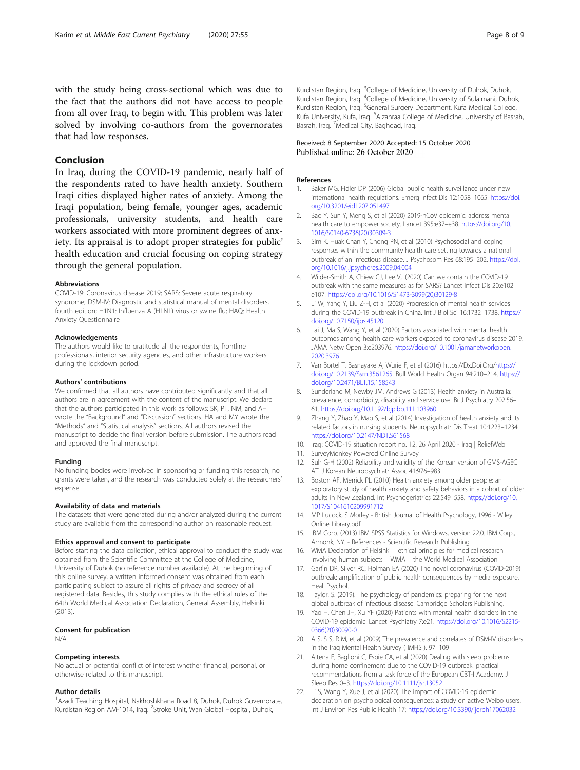<span id="page-7-0"></span>with the study being cross-sectional which was due to the fact that the authors did not have access to people from all over Iraq, to begin with. This problem was later solved by involving co-authors from the governorates that had low responses.

# Conclusion

In Iraq, during the COVID-19 pandemic, nearly half of the respondents rated to have health anxiety. Southern Iraqi cities displayed higher rates of anxiety. Among the Iraqi population, being female, younger ages, academic professionals, university students, and health care workers associated with more prominent degrees of anxiety. Its appraisal is to adopt proper strategies for public' health education and crucial focusing on coping strategy through the general population.

#### Abbreviations

COVID-19: Coronavirus disease 2019; SARS: Severe acute respiratory syndrome; DSM-IV: Diagnostic and statistical manual of mental disorders, fourth edition; H1N1: Influenza A (H1N1) virus or swine flu; HAQ: Health Anxiety Questionnaire

#### Acknowledgements

The authors would like to gratitude all the respondents, frontline professionals, interior security agencies, and other infrastructure workers during the lockdown period.

#### Authors' contributions

We confirmed that all authors have contributed significantly and that all authors are in agreement with the content of the manuscript. We declare that the authors participated in this work as follows: SK, PT, NM, and AH wrote the "Background" and "Discussion" sections. HA and MY wrote the "Methods" and "Statistical analysis" sections. All authors revised the manuscript to decide the final version before submission. The authors read and approved the final manuscript.

#### Funding

No funding bodies were involved in sponsoring or funding this research, no grants were taken, and the research was conducted solely at the researchers' expense.

#### Availability of data and materials

The datasets that were generated during and/or analyzed during the current study are available from the corresponding author on reasonable request.

#### Ethics approval and consent to participate

Before starting the data collection, ethical approval to conduct the study was obtained from the Scientific Committee at the College of Medicine, University of Duhok (no reference number available). At the beginning of this online survey, a written informed consent was obtained from each participating subject to assure all rights of privacy and secrecy of all registered data. Besides, this study complies with the ethical rules of the 64th World Medical Association Declaration, General Assembly, Helsinki (2013).

## Consent for publication

N/A.

## Competing interests

No actual or potential conflict of interest whether financial, personal, or otherwise related to this manuscript.

#### Author details

<sup>1</sup> Azadi Teaching Hospital, Nakhoshkhana Road 8, Duhok, Duhok Governorate, Kurdistan Region AM-1014, Iraq. <sup>2</sup>Stroke Unit, Wan Global Hospital, Duhok,

Kurdistan Region, Iraq. <sup>3</sup>College of Medicine, University of Duhok, Duhok Kurdistan Region, Iraq. <sup>4</sup>College of Medicine, University of Sulaimani, Duhok Kurdistan Region, Iraq. <sup>5</sup>General Surgery Department, Kufa Medical College, Kufa University, Kufa, Iraq. <sup>6</sup>Alzahraa College of Medicine, University of Basrah Basrah, Iraq. <sup>7</sup>Medical City, Baghdad, Iraq

# Received: 8 September 2020 Accepted: 15 October 2020 Published online: 26 October 2020

## References

- 1. Baker MG, Fidler DP (2006) Global public health surveillance under new international health regulations. Emerg Infect Dis 12:1058–1065. [https://doi.](https://doi.org/10.3201/eid1207.051497) [org/10.3201/eid1207.051497](https://doi.org/10.3201/eid1207.051497)
- 2. Bao Y, Sun Y, Meng S, et al (2020) 2019-nCoV epidemic: address mental health care to empower society. Lancet 395:e37–e38. [https://doi.org/10.](https://doi.org/10.1016/S0140-6736(20)30309-3) [1016/S0140-6736\(20\)30309-3](https://doi.org/10.1016/S0140-6736(20)30309-3)
- 3. Sim K, Huak Chan Y, Chong PN, et al (2010) Psychosocial and coping responses within the community health care setting towards a national outbreak of an infectious disease. J Psychosom Res 68:195–202. [https://doi.](https://doi.org/10.1016/j.jpsychores.2009.04.004) [org/10.1016/j.jpsychores.2009.04.004](https://doi.org/10.1016/j.jpsychores.2009.04.004)
- 4. Wilder-Smith A, Chiew CJ, Lee VJ (2020) Can we contain the COVID-19 outbreak with the same measures as for SARS? Lancet Infect Dis 20:e102– e107. [https://doi.org/10.1016/S1473-3099\(20\)30129-8](https://doi.org/10.1016/S1473-3099(20)30129-8)
- 5. Li W, Yang Y, Liu Z-H, et al (2020) Progression of mental health services during the COVID-19 outbreak in China. Int J Biol Sci 16:1732–1738. [https://](https://doi.org/10.7150/ijbs.45120) [doi.org/10.7150/ijbs.45120](https://doi.org/10.7150/ijbs.45120)
- 6. Lai J, Ma S, Wang Y, et al (2020) Factors associated with mental health outcomes among health care workers exposed to coronavirus disease 2019. JAMA Netw Open 3:e203976. [https://doi.org/10.1001/jamanetworkopen.](https://doi.org/10.1001/jamanetworkopen.2020.3976) [2020.3976](https://doi.org/10.1001/jamanetworkopen.2020.3976)
- 7. Van Bortel T, Basnayake A, Wurie F, et al (2016) https://Dx.Doi.Org/[https://](https://doi.org/10.2139/Ssrn.3561265) [doi.org/10.2139/Ssrn.3561265](https://doi.org/10.2139/Ssrn.3561265). Bull World Health Organ 94:210–214. [https://](https://doi.org/10.2471/BLT.15.158543) [doi.org/10.2471/BLT.15.158543](https://doi.org/10.2471/BLT.15.158543)
- 8. Sunderland M, Newby JM, Andrews G (2013) Health anxiety in Australia: prevalence, comorbidity, disability and service use. Br J Psychiatry 202:56– 61. <https://doi.org/10.1192/bjp.bp.111.103960>
- 9. Zhang Y, Zhao Y, Mao S, et al (2014) Investigation of health anxiety and its related factors in nursing students. Neuropsychiatr Dis Treat 10:1223–1234. <https://doi.org/10.2147/NDT.S61568>
- 10. Iraq: COVID-19 situation report no. 12, 26 April 2020 Iraq | ReliefWeb
- 11. SurveyMonkey Powered Online Survey
- 12. Suh G-H (2002) Reliability and validity of the Korean version of GMS-AGEC AT. J Korean Neuropsychiatr Assoc 41:976–983
- 13. Boston AF, Merrick PL (2010) Health anxiety among older people: an exploratory study of health anxiety and safety behaviors in a cohort of older adults in New Zealand. Int Psychogeriatrics 22:549–558. [https://doi.org/10.](https://doi.org/10.1017/S1041610209991712) [1017/S1041610209991712](https://doi.org/10.1017/S1041610209991712)
- 14. MP Lucock, S Morley British Journal of Health Psychology, 1996 Wiley Online Library.pdf
- 15. IBM Corp. (2013) IBM SPSS Statistics for Windows, version 22.0. IBM Corp., Armonk, NY. - References - Scientific Research Publishing
- 16. WMA Declaration of Helsinki ethical principles for medical research involving human subjects – WMA – the World Medical Association
- 17. Garfin DR, Silver RC, Holman EA (2020) The novel coronavirus (COVID-2019) outbreak: amplification of public health consequences by media exposure. Heal. Psychol.
- 18. Taylor, S. (2019). The psychology of pandemics: preparing for the next global outbreak of infectious disease. Cambridge Scholars Publishing.
- 19. Yao H, Chen JH, Xu YF (2020) Patients with mental health disorders in the COVID-19 epidemic. Lancet Psychiatry 7:e21. [https://doi.org/10.1016/S2215-](https://doi.org/10.1016/S2215-0366(20)30090-0) [0366\(20\)30090-0](https://doi.org/10.1016/S2215-0366(20)30090-0)
- 20. A S, S S, R M, et al (2009) The prevalence and correlates of DSM-IV disorders in the Iraq Mental Health Survey ( IMHS ). 97–109
- 21. Altena E, Baglioni C, Espie CA, et al (2020) Dealing with sleep problems during home confinement due to the COVID-19 outbreak: practical recommendations from a task force of the European CBT-I Academy. J Sleep Res 0–3. <https://doi.org/10.1111/jsr.13052>
- 22. Li S, Wang Y, Xue J, et al (2020) The impact of COVID-19 epidemic declaration on psychological consequences: a study on active Weibo users. Int J Environ Res Public Health 17: <https://doi.org/10.3390/ijerph17062032>